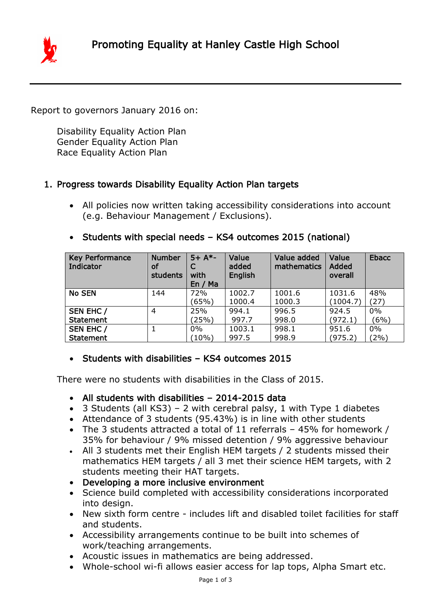

Report to governors January 2016 on:

Disability Equality Action Plan Gender Equality Action Plan Race Equality Action Plan

#### 1. Progress towards Disability Equality Action Plan targets

- All policies now written taking accessibility considerations into account (e.g. Behaviour Management / Exclusions).
- Students with special needs KS4 outcomes 2015 (national)

| <b>Key Performance</b><br>Indicator | <b>Number</b><br>οf<br>students | $5+ A*-$<br>with<br>En / Ma | Value<br>added<br>English | Value added<br>mathematics | Value<br>Added<br>overall | <b>Ebacc</b> |
|-------------------------------------|---------------------------------|-----------------------------|---------------------------|----------------------------|---------------------------|--------------|
| <b>No SEN</b>                       | 144                             | 72%                         | 1002.7                    | 1001.6                     | 1031.6                    | 48%          |
|                                     |                                 | (65%)                       | 1000.4                    | 1000.3                     | (1004.7)                  | (27)         |
| SEN EHC /                           | 4                               | 25%                         | 994.1                     | 996.5                      | 924.5                     | 0%           |
| <b>Statement</b>                    |                                 | (25%)                       | 997.7                     | 998.0                      | (972.1)                   | (6%)         |
| SEN EHC /                           |                                 | $0\%$                       | 1003.1                    | 998.1                      | 951.6                     | 0%           |
| <b>Statement</b>                    |                                 | $(10\%)$                    | 997.5                     | 998.9                      | (975.2)                   | $(2\%)$      |

### • Students with disabilities - KS4 outcomes 2015

There were no students with disabilities in the Class of 2015.

- All students with disabilities 2014-2015 data
- $\bullet$  3 Students (all KS3) 2 with cerebral palsy, 1 with Type 1 diabetes
- Attendance of 3 students (95.43%) is in line with other students
- The 3 students attracted a total of 11 referrals 45% for homework / 35% for behaviour / 9% missed detention / 9% aggressive behaviour
- All 3 students met their English HEM targets / 2 students missed their mathematics HEM targets / all 3 met their science HEM targets, with 2 students meeting their HAT targets.
- Developing a more inclusive environment
- Science build completed with accessibility considerations incorporated into design.
- New sixth form centre includes lift and disabled toilet facilities for staff and students.
- Accessibility arrangements continue to be built into schemes of work/teaching arrangements.
- Acoustic issues in mathematics are being addressed.
- Whole-school wi-fi allows easier access for lap tops, Alpha Smart etc.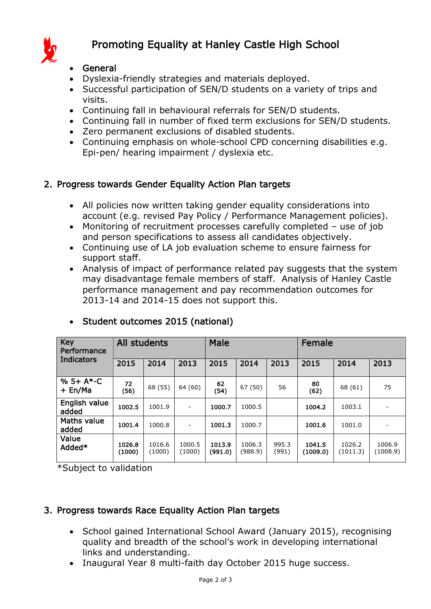

# Promoting Equality at Hanley Castle High School

#### General

- Dyslexia-friendly strategies and materials deployed.
- Successful participation of SEN/D students on a variety of trips and visits.
- Continuing fall in behavioural referrals for SEN/D students.
- Continuing fall in number of fixed term exclusions for SEN/D students.
- Zero permanent exclusions of disabled students.
- Continuing emphasis on whole-school CPD concerning disabilities e.g. Epi-pen/ hearing impairment / dyslexia etc.

### 2. Progress towards Gender Equality Action Plan targets

- All policies now written taking gender equality considerations into account (e.g. revised Pay Policy / Performance Management policies).
- Monitoring of recruitment processes carefully completed use of job and person specifications to assess all candidates objectively.
- Continuing use of LA job evaluation scheme to ensure fairness for support staff.
- Analysis of impact of performance related pay suggests that the system may disadvantage female members of staff. Analysis of Hanley Castle performance management and pay recommendation outcomes for 2013-14 and 2014-15 does not support this.

| Key<br>Performance<br><b>Indicators</b> | All students     |                  |                  | Male              |                   |                | Female             |                    |                    |
|-----------------------------------------|------------------|------------------|------------------|-------------------|-------------------|----------------|--------------------|--------------------|--------------------|
|                                         | 2015             | 2014             | 2013             | 2015              | 2014              | 2013           | 2015               | 2014               | 2013               |
| $% 5+ A*-C$<br>+ En/Ma                  | 72<br>(56)       | 68 (55)          | 64 (60)          | 62<br>(54)        | 67 (50)           | 56             | 80<br>(62)         | 68 (61)            | 75                 |
| English value<br>added                  | 1002.5           | 1001.9           | -                | 1000.7            | 1000.5            |                | 1004.2             | 1003.1             |                    |
| <b>Maths value</b><br>added             | 1001.4           | 1000.8           | ۰                | 1001.3            | 1000.7            |                | 1001.6             | 1001.0             |                    |
| Value<br>Added*                         | 1026.8<br>(1000) | 1016.6<br>(1000) | 1000.5<br>(1000) | 1013.9<br>(991.0) | 1006.3<br>(988.9) | 995.3<br>(991) | 1041.5<br>(1009.0) | 1026.2<br>(1011.3) | 1006.9<br>(1008.9) |

### • Student outcomes 2015 (national)

\*Subject to validation

### 3. Progress towards Race Equality Action Plan targets

- School gained International School Award (January 2015), recognising quality and breadth of the school's work in developing international links and understanding.
- Inaugural Year 8 multi-faith day October 2015 huge success.